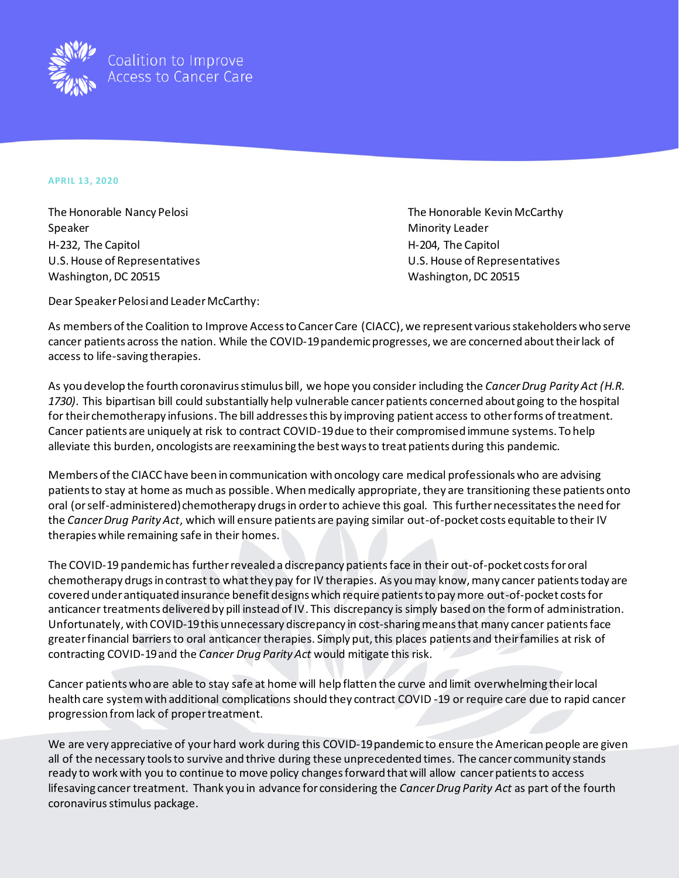

## **APRIL 13, 2020**

Speaker Minority Leader Minority Leader H-232, The Capitol **H-202, The Capitol** H-204, The Capitol U.S. House of Representatives U.S. House of Representatives Washington, DC 20515 Washington, DC 20515

The Honorable Nancy Pelosi **The Honorable Kevin McCarthy** The Honorable Kevin McCarthy

Dear Speaker Pelosi and Leader McCarthy:

As members of the Coalition to Improve Access to Cancer Care (CIACC), we represent various stakeholders who serve cancer patients across the nation. While the COVID-19 pandemicprogresses, we are concerned about their lack of access to life-saving therapies.

As you develop the fourth coronavirus stimulus bill, we hope you consider including the *Cancer Drug Parity Act (H.R. 1730)*. This bipartisan bill could substantially help vulnerable cancer patients concerned about going to the hospital for their chemotherapy infusions. The bill addresses this by improving patient access to other forms of treatment. Cancer patients are uniquely at risk to contract COVID-19 due to their compromised immune systems. To help alleviate this burden, oncologists are reexamining the best ways to treat patients during this pandemic.

Members of the CIACC have been in communication with oncology care medical professionals who are advising patients to stay at home as much as possible. When medically appropriate, they are transitioning these patients onto oral (or self-administered) chemotherapy drugs in order to achieve this goal. This further necessitates the need for the *Cancer Drug Parity Act*, which will ensure patients are paying similar out-of-pocket costs equitable to their IV therapies while remaining safe in their homes.

The COVID-19 pandemic has further revealed a discrepancy patientsface in their out-of-pocket costsfor oral chemotherapy drugs in contrast to what they pay for IV therapies. As you may know, many cancer patients today are covered under antiquated insurance benefit designs which require patients to pay more out-of-pocket costs for anticancer treatments delivered by pill instead of IV. This discrepancy is simply based on the form of administration. Unfortunately, with COVID-19 this unnecessary discrepancy in cost-sharing means that many cancer patients face greater financial barriers to oral anticancer therapies. Simply put, this places patients and their families at risk of contracting COVID-19and the *Cancer Drug Parity Act* would mitigate this risk.

Cancer patients who are able to stay safe at home will help flatten the curve and limit overwhelming their local health care system with additional complications should they contract COVID -19 or require care due to rapid cancer progression from lack of proper treatment.

We are very appreciative of your hard work during this COVID-19 pandemic to ensure the American people are given all of the necessary tools to survive and thrive during these unprecedented times. The cancer community stands ready to work with you to continue to move policy changes forward that will allow cancer patients to access lifesaving cancer treatment. Thank you in advance for considering the *Cancer Drug Parity Act* as part of the fourth coronavirus stimulus package.